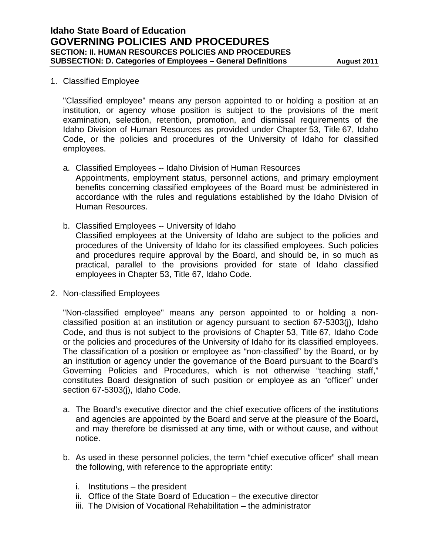## 1. Classified Employee

"Classified employee" means any person appointed to or holding a position at an institution, or agency whose position is subject to the provisions of the merit examination, selection, retention, promotion, and dismissal requirements of the Idaho Division of Human Resources as provided under Chapter 53, Title 67, Idaho Code, or the policies and procedures of the University of Idaho for classified employees.

- a. Classified Employees -- Idaho Division of Human Resources Appointments, employment status, personnel actions, and primary employment benefits concerning classified employees of the Board must be administered in accordance with the rules and regulations established by the Idaho Division of Human Resources.
- b. Classified Employees -- University of Idaho Classified employees at the University of Idaho are subject to the policies and procedures of the University of Idaho for its classified employees. Such policies and procedures require approval by the Board, and should be, in so much as practical, parallel to the provisions provided for state of Idaho classified employees in Chapter 53, Title 67, Idaho Code.
- 2. Non-classified Employees

"Non-classified employee" means any person appointed to or holding a nonclassified position at an institution or agency pursuant to section 67-5303(j), Idaho Code, and thus is not subject to the provisions of Chapter 53, Title 67, Idaho Code or the policies and procedures of the University of Idaho for its classified employees. The classification of a position or employee as "non-classified" by the Board, or by an institution or agency under the governance of the Board pursuant to the Board's Governing Policies and Procedures, which is not otherwise "teaching staff," constitutes Board designation of such position or employee as an "officer" under section 67-5303(j), Idaho Code.

- a. The Board's executive director and the chief executive officers of the institutions and agencies are appointed by the Board and serve at the pleasure of the Board**,**  and may therefore be dismissed at any time, with or without cause, and without notice.
- b. As used in these personnel policies, the term "chief executive officer" shall mean the following, with reference to the appropriate entity:
	- i. Institutions the president
	- ii. Office of the State Board of Education the executive director
	- iii. The Division of Vocational Rehabilitation the administrator